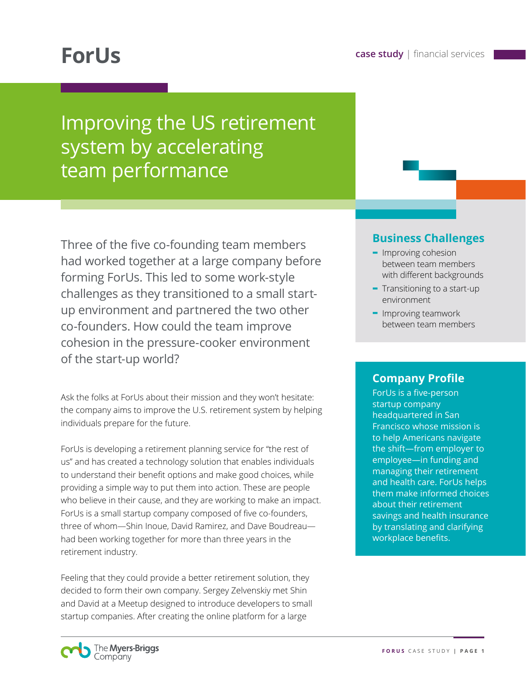# Improving the US retirement system by accelerating team performance

Three of the five co-founding team members had worked together at a large company before forming ForUs. This led to some work-style challenges as they transitioned to a small startup environment and partnered the two other co-founders. How could the team improve cohesion in the pressure-cooker environment of the start-up world?

Ask the folks at ForUs about their mission and they won't hesitate: the company aims to improve the U.S. retirement system by helping individuals prepare for the future.

ForUs is developing a retirement planning service for "the rest of us" and has created a technology solution that enables individuals to understand their benefit options and make good choices, while providing a simple way to put them into action. These are people who believe in their cause, and they are working to make an impact. ForUs is a small startup company composed of five co-founders, three of whom—Shin Inoue, David Ramirez, and Dave Boudreau had been working together for more than three years in the retirement industry.

Feeling that they could provide a better retirement solution, they decided to form their own company. Sergey Zelvenskiy met Shin and David at a Meetup designed to introduce developers to small startup companies. After creating the online platform for a large

#### **Business Challenges**

- **-** Improving cohesion between team members with different backgrounds
- **-** Transitioning to a start-up environment
- **-** Improving teamwork between team members

#### **Company Profile**

ForUs is a five-person startup company headquartered in San Francisco whose mission is to help Americans navigate the shift—from employer to employee—in funding and managing their retirement and health care. ForUs helps them make informed choices about their retirement savings and health insurance by translating and clarifying workplace benefits.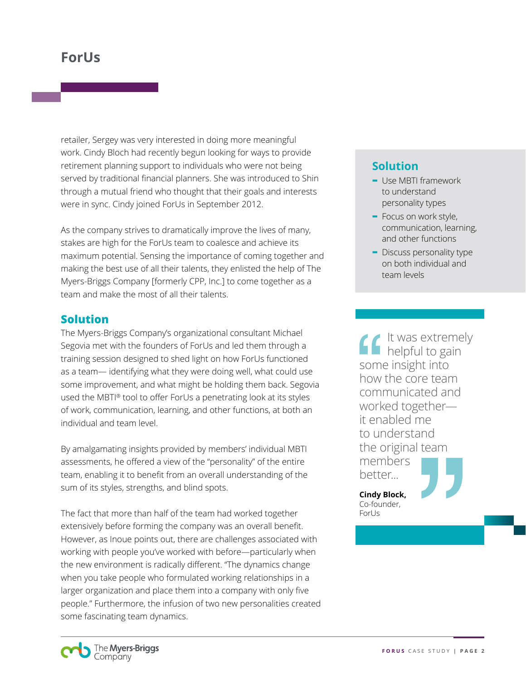retailer, Sergey was very interested in doing more meaningful work. Cindy Bloch had recently begun looking for ways to provide retirement planning support to individuals who were not being served by traditional financial planners. She was introduced to Shin through a mutual friend who thought that their goals and interests were in sync. Cindy joined ForUs in September 2012.

As the company strives to dramatically improve the lives of many, stakes are high for the ForUs team to coalesce and achieve its maximum potential. Sensing the importance of coming together and making the best use of all their talents, they enlisted the help of The Myers-Briggs Company [formerly CPP, Inc.] to come together as a team and make the most of all their talents.

#### **Solution**

The Myers-Briggs Company's organizational consultant Michael Segovia met with the founders of ForUs and led them through a training session designed to shed light on how ForUs functioned as a team— identifying what they were doing well, what could use some improvement, and what might be holding them back. Segovia used the MBTI® tool to offer ForUs a penetrating look at its styles of work, communication, learning, and other functions, at both an individual and team level.

By amalgamating insights provided by members' individual MBTI assessments, he offered a view of the "personality" of the entire team, enabling it to benefit from an overall understanding of the sum of its styles, strengths, and blind spots.

The fact that more than half of the team had worked together extensively before forming the company was an overall benefit. However, as Inoue points out, there are challenges associated with working with people you've worked with before—particularly when the new environment is radically different. "The dynamics change when you take people who formulated working relationships in a larger organization and place them into a company with only five people." Furthermore, the infusion of two new personalities created some fascinating team dynamics.

## **Solution**

- **-** Use MBTI framework to understand personality types
- **-** Focus on work style, communication, learning, and other functions
- **-** Discuss personality type on both individual and team levels

It was extremely helpful to gain some insight into how the core team communicated and worked together it enabled me to understand the original team members better...

**Cindy Block,**  Co-founder, ForUs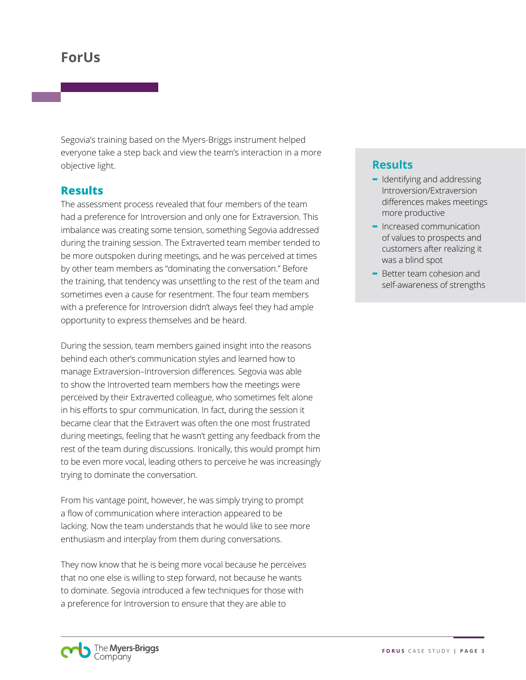Segovia's training based on the Myers-Briggs instrument helped everyone take a step back and view the team's interaction in a more objective light.

#### **Results**

The assessment process revealed that four members of the team had a preference for Introversion and only one for Extraversion. This imbalance was creating some tension, something Segovia addressed during the training session. The Extraverted team member tended to be more outspoken during meetings, and he was perceived at times by other team members as "dominating the conversation." Before the training, that tendency was unsettling to the rest of the team and sometimes even a cause for resentment. The four team members with a preference for Introversion didn't always feel they had ample opportunity to express themselves and be heard.

During the session, team members gained insight into the reasons behind each other's communication styles and learned how to manage Extraversion–Introversion differences. Segovia was able to show the Introverted team members how the meetings were perceived by their Extraverted colleague, who sometimes felt alone in his efforts to spur communication. In fact, during the session it became clear that the Extravert was often the one most frustrated during meetings, feeling that he wasn't getting any feedback from the rest of the team during discussions. Ironically, this would prompt him to be even more vocal, leading others to perceive he was increasingly trying to dominate the conversation.

From his vantage point, however, he was simply trying to prompt a flow of communication where interaction appeared to be lacking. Now the team understands that he would like to see more enthusiasm and interplay from them during conversations.

They now know that he is being more vocal because he perceives that no one else is willing to step forward, not because he wants to dominate. Segovia introduced a few techniques for those with a preference for Introversion to ensure that they are able to

### **Results**

- **-** Identifying and addressing Introversion/Extraversion differences makes meetings more productive
- **-** Increased communication of values to prospects and customers after realizing it was a blind spot
- **-** Better team cohesion and self-awareness of strengths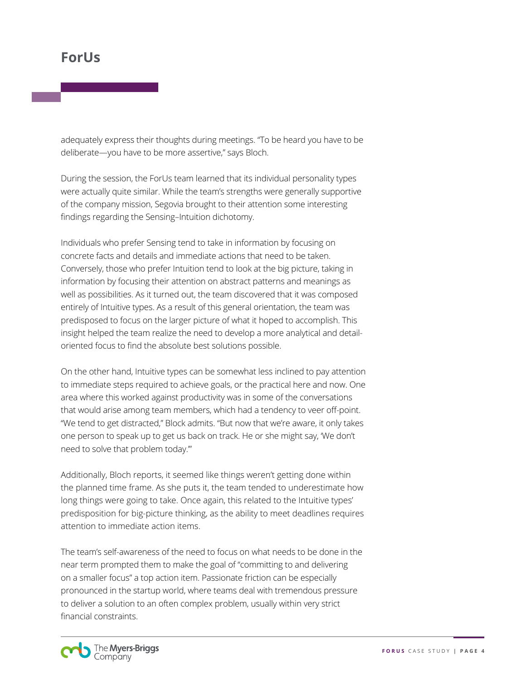adequately express their thoughts during meetings. "To be heard you have to be deliberate—you have to be more assertive," says Bloch.

During the session, the ForUs team learned that its individual personality types were actually quite similar. While the team's strengths were generally supportive of the company mission, Segovia brought to their attention some interesting findings regarding the Sensing–Intuition dichotomy.

Individuals who prefer Sensing tend to take in information by focusing on concrete facts and details and immediate actions that need to be taken. Conversely, those who prefer Intuition tend to look at the big picture, taking in information by focusing their attention on abstract patterns and meanings as well as possibilities. As it turned out, the team discovered that it was composed entirely of Intuitive types. As a result of this general orientation, the team was predisposed to focus on the larger picture of what it hoped to accomplish. This insight helped the team realize the need to develop a more analytical and detailoriented focus to find the absolute best solutions possible.

On the other hand, Intuitive types can be somewhat less inclined to pay attention to immediate steps required to achieve goals, or the practical here and now. One area where this worked against productivity was in some of the conversations that would arise among team members, which had a tendency to veer off-point. "We tend to get distracted," Block admits. "But now that we're aware, it only takes one person to speak up to get us back on track. He or she might say, 'We don't need to solve that problem today.'"

Additionally, Bloch reports, it seemed like things weren't getting done within the planned time frame. As she puts it, the team tended to underestimate how long things were going to take. Once again, this related to the Intuitive types' predisposition for big-picture thinking, as the ability to meet deadlines requires attention to immediate action items.

The team's self-awareness of the need to focus on what needs to be done in the near term prompted them to make the goal of "committing to and delivering on a smaller focus" a top action item. Passionate friction can be especially pronounced in the startup world, where teams deal with tremendous pressure to deliver a solution to an often complex problem, usually within very strict financial constraints.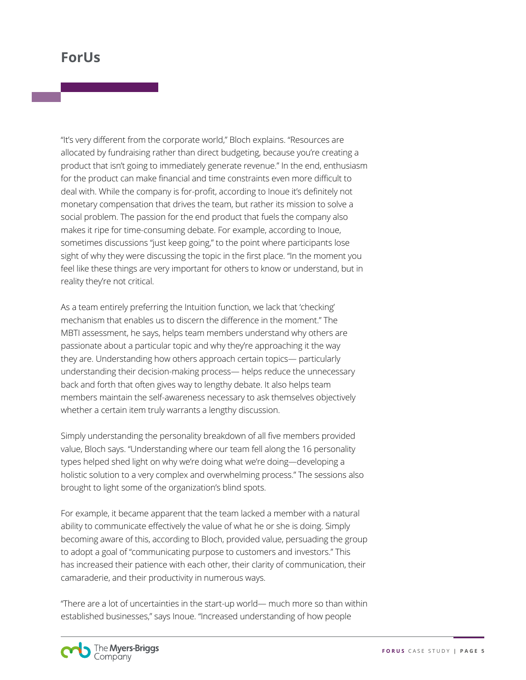"It's very different from the corporate world," Bloch explains. "Resources are allocated by fundraising rather than direct budgeting, because you're creating a product that isn't going to immediately generate revenue." In the end, enthusiasm for the product can make financial and time constraints even more difficult to deal with. While the company is for-profit, according to Inoue it's definitely not monetary compensation that drives the team, but rather its mission to solve a social problem. The passion for the end product that fuels the company also makes it ripe for time-consuming debate. For example, according to Inoue, sometimes discussions "just keep going," to the point where participants lose sight of why they were discussing the topic in the first place. "In the moment you feel like these things are very important for others to know or understand, but in reality they're not critical.

As a team entirely preferring the Intuition function, we lack that 'checking' mechanism that enables us to discern the difference in the moment." The MBTI assessment, he says, helps team members understand why others are passionate about a particular topic and why they're approaching it the way they are. Understanding how others approach certain topics— particularly understanding their decision-making process— helps reduce the unnecessary back and forth that often gives way to lengthy debate. It also helps team members maintain the self-awareness necessary to ask themselves objectively whether a certain item truly warrants a lengthy discussion.

Simply understanding the personality breakdown of all five members provided value, Bloch says. "Understanding where our team fell along the 16 personality types helped shed light on why we're doing what we're doing—developing a holistic solution to a very complex and overwhelming process." The sessions also brought to light some of the organization's blind spots.

For example, it became apparent that the team lacked a member with a natural ability to communicate effectively the value of what he or she is doing. Simply becoming aware of this, according to Bloch, provided value, persuading the group to adopt a goal of "communicating purpose to customers and investors." This has increased their patience with each other, their clarity of communication, their camaraderie, and their productivity in numerous ways.

"There are a lot of uncertainties in the start-up world— much more so than within established businesses," says Inoue. "Increased understanding of how people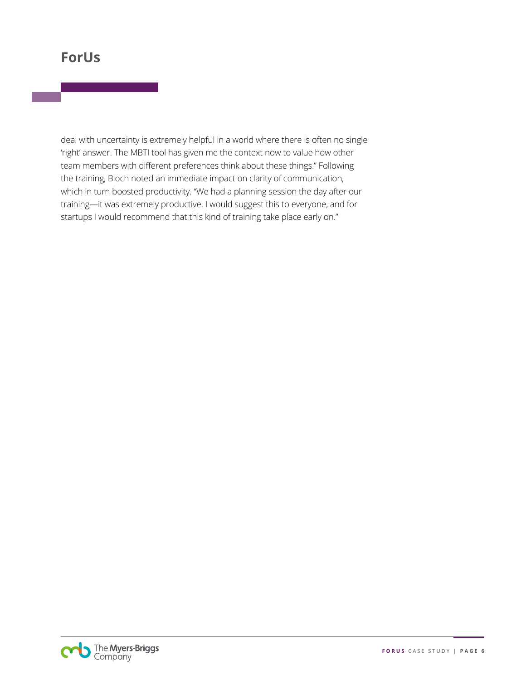deal with uncertainty is extremely helpful in a world where there is often no single 'right' answer. The MBTI tool has given me the context now to value how other team members with different preferences think about these things." Following the training, Bloch noted an immediate impact on clarity of communication, which in turn boosted productivity. "We had a planning session the day after our training—it was extremely productive. I would suggest this to everyone, and for startups I would recommend that this kind of training take place early on."